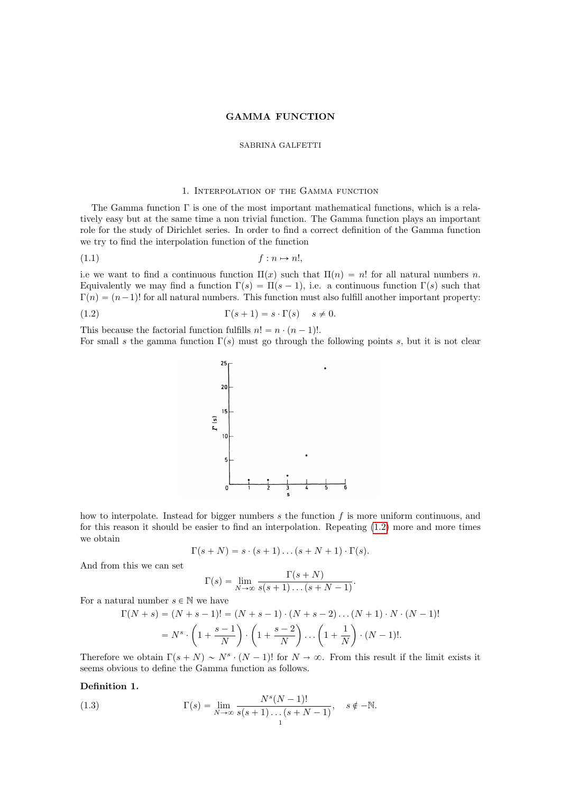#### GAMMA FUNCTION

#### SABRINA GALFETTI

# 1. Interpolation of the Gamma function

The Gamma function Γ is one of the most important mathematical functions, which is a relatively easy but at the same time a non trivial function. The Gamma function plays an important role for the study of Dirichlet series. In order to find a correct definition of the Gamma function we try to find the interpolation function of the function

$$
(1.1) \t\t\t f: n \mapsto n!,
$$

i.e we want to find a continuous function  $\Pi(x)$  such that  $\Pi(n) = n!$  for all natural numbers n. Equivalently we may find a function  $\Gamma(s) = \Pi(s - 1)$ , i.e. a continuous function  $\Gamma(s)$  such that  $\Gamma(n) = (n-1)!$  for all natural numbers. This function must also fulfill another important property:

(1.2) 
$$
\Gamma(s+1) = s \cdot \Gamma(s) \quad s \neq 0.
$$

This because the factorial function fulfills  $n! = n \cdot (n-1)!$ .

For small s the gamma function  $\Gamma(s)$  must go through the following points s, but it is not clear

<span id="page-0-0"></span>

how to interpolate. Instead for bigger numbers  $s$  the function  $f$  is more uniform continuous, and for this reason it should be easier to find an interpolation. Repeating [\(1.2\)](#page-0-0) more and more times we obtain

$$
\Gamma(s+N) = s \cdot (s+1) \dots (s+N+1) \cdot \Gamma(s).
$$

And from this we can set

$$
\Gamma(s) = \lim_{N \to \infty} \frac{\Gamma(s+N)}{s(s+1)\dots(s+N-1)}.
$$

For a natural number  $s \in \mathbb{N}$  we have

$$
\Gamma(N+s) = (N+s-1)! = (N+s-1) \cdot (N+s-2) \dots (N+1) \cdot N \cdot (N-1)!
$$
  
=  $N^s \cdot \left(1 + \frac{s-1}{N}\right) \cdot \left(1 + \frac{s-2}{N}\right) \dots \left(1 + \frac{1}{N}\right) \cdot (N-1)!$ 

Therefore we obtain  $\Gamma(s + N) \sim N^s \cdot (N - 1)!$  for  $N \to \infty$ . From this result if the limit exists it seems obvious to define the Gamma function as follows.

# Definition 1.

<span id="page-0-1"></span>(1.3) 
$$
\Gamma(s) = \lim_{N \to \infty} \frac{N^{s}(N-1)!}{s(s+1)...(s+N-1)}, \quad s \notin -\mathbb{N}.
$$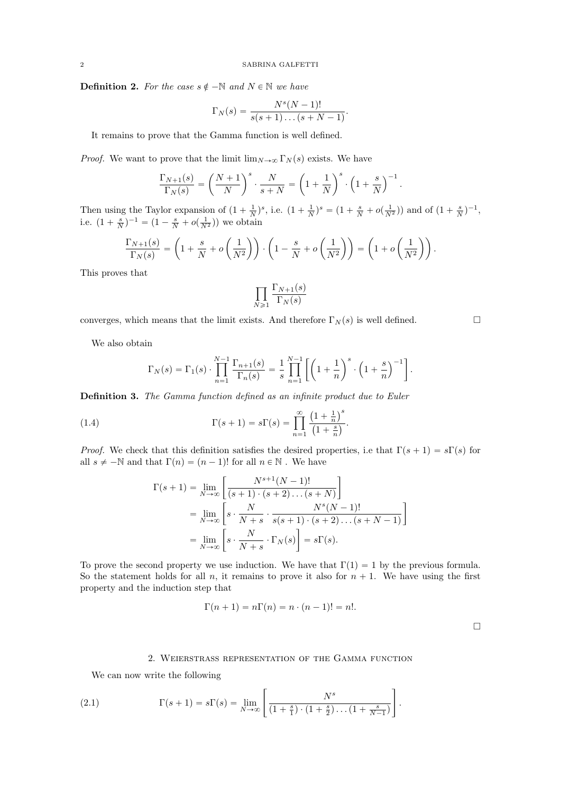**Definition 2.** For the case  $s \notin -\mathbb{N}$  and  $N \in \mathbb{N}$  we have

$$
\Gamma_N(s) = \frac{N^s(N-1)!}{s(s+1)\dots(s+N-1)}
$$

.

It remains to prove that the Gamma function is well defined.

*Proof.* We want to prove that the limit  $\lim_{N\to\infty} \Gamma_N(s)$  exists. We have

$$
\frac{\Gamma_{N+1}(s)}{\Gamma_N(s)} = \left(\frac{N+1}{N}\right)^s \cdot \frac{N}{s+N} = \left(1 + \frac{1}{N}\right)^s \cdot \left(1 + \frac{s}{N}\right)^{-1}.
$$

Then using the Taylor expansion of  $(1 + \frac{1}{N})^s$ , i.e.  $(1 + \frac{1}{N})^s = (1 + \frac{s}{N} + o(\frac{1}{N^2}))$  and of  $(1 + \frac{s}{N})^{-1}$ , i.e.  $(1 + \frac{s}{N})^{-1} = (1 - \frac{s}{N} + o(\frac{1}{N^2}))$  we obtain

$$
\frac{\Gamma_{N+1}(s)}{\Gamma_N(s)} = \left(1 + \frac{s}{N} + o\left(\frac{1}{N^2}\right)\right) \cdot \left(1 - \frac{s}{N} + o\left(\frac{1}{N^2}\right)\right) = \left(1 + o\left(\frac{1}{N^2}\right)\right).
$$

This proves that

$$
\prod_{N\geqslant 1}\frac{\Gamma_{N+1}(s)}{\Gamma_N(s)}
$$

converges, which means that the limit exists. And therefore  $\Gamma_N(s)$  is well defined.

We also obtain

$$
\Gamma_N(s) = \Gamma_1(s) \cdot \prod_{n=1}^{N-1} \frac{\Gamma_{n+1}(s)}{\Gamma_n(s)} = \frac{1}{s} \prod_{n=1}^{N-1} \left[ \left( 1 + \frac{1}{n} \right)^s \cdot \left( 1 + \frac{s}{n} \right)^{-1} \right].
$$

Definition 3. The Gamma function defined as an infinite product due to Euler

(1.4) 
$$
\Gamma(s+1) = s\Gamma(s) = \prod_{n=1}^{\infty} \frac{\left(1 + \frac{1}{n}\right)^s}{\left(1 + \frac{s}{n}\right)}.
$$

*Proof.* We check that this definition satisfies the desired properties, i.e that  $\Gamma(s + 1) = s\Gamma(s)$  for all  $s \neq -\mathbb{N}$  and that  $\Gamma(n) = (n-1)!$  for all  $n \in \mathbb{N}$ . We have

 $\overline{a}$ 

<span id="page-1-1"></span>
$$
\Gamma(s+1) = \lim_{N \to \infty} \left[ \frac{N^{s+1}(N-1)!}{(s+1) \cdot (s+2) \dots (s+N)} \right]
$$
  
= 
$$
\lim_{N \to \infty} \left[ s \cdot \frac{N}{N+s} \cdot \frac{N^s(N-1)!}{s(s+1) \cdot (s+2) \dots (s+N-1)} \right]
$$
  
= 
$$
\lim_{N \to \infty} \left[ s \cdot \frac{N}{N+s} \cdot \Gamma_N(s) \right] = s\Gamma(s).
$$

To prove the second property we use induction. We have that  $\Gamma(1) = 1$  by the previous formula. So the statement holds for all n, it remains to prove it also for  $n + 1$ . We have using the first property and the induction step that

$$
\Gamma(n+1) = n\Gamma(n) = n \cdot (n-1)! = n!.
$$

 $\Box$ 

## <span id="page-1-0"></span>2. Weierstrass representation of the Gamma function

We can now write the following

(2.1) 
$$
\Gamma(s+1) = s\Gamma(s) = \lim_{N \to \infty} \left[ \frac{N^s}{\left(1 + \frac{s}{1}\right) \cdot \left(1 + \frac{s}{2}\right) \dots \left(1 + \frac{s}{N-1}\right)} \right].
$$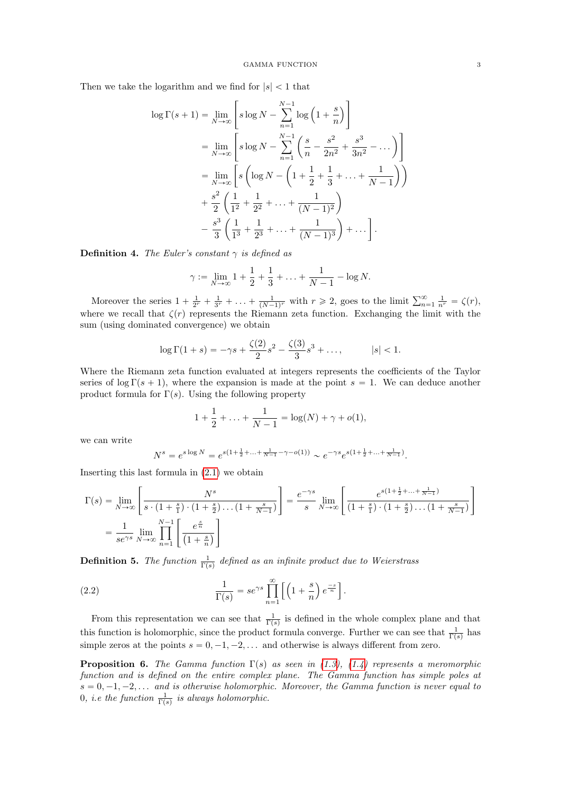Then we take the logarithm and we find for  $|s| < 1$  that

$$
\log \Gamma(s+1) = \lim_{N \to \infty} \left[ s \log N - \sum_{n=1}^{N-1} \log \left( 1 + \frac{s}{n} \right) \right]
$$
  
= 
$$
\lim_{N \to \infty} \left[ s \log N - \sum_{n=1}^{N-1} \left( \frac{s}{n} - \frac{s^2}{2n^2} + \frac{s^3}{3n^2} - \dots \right) \right]
$$
  
= 
$$
\lim_{N \to \infty} \left[ s \left( \log N - \left( 1 + \frac{1}{2} + \frac{1}{3} + \dots + \frac{1}{N-1} \right) \right) + \frac{s^2}{2} \left( \frac{1}{1^2} + \frac{1}{2^2} + \dots + \frac{1}{(N-1)^2} \right) - \frac{s^3}{3} \left( \frac{1}{1^3} + \frac{1}{2^3} + \dots + \frac{1}{(N-1)^3} \right) + \dots \right].
$$

**Definition 4.** The Euler's constant  $\gamma$  is defined as

$$
\gamma := \lim_{N \to \infty} 1 + \frac{1}{2} + \frac{1}{3} + \ldots + \frac{1}{N-1} - \log N.
$$

Moreover the series  $1 + \frac{1}{2^r} + \frac{1}{3^r} + \ldots + \frac{1}{(N-1)^r}$  with  $r \ge 2$ , goes to the limit  $\sum_{n=1}^{\infty} \frac{1}{n^r} = \zeta(r)$ , where we recall that  $\zeta(r)$  represents the Riemann zeta function. Exchanging the limit with the sum (using dominated convergence) we obtain

$$
\log \Gamma(1+s) = -\gamma s + \frac{\zeta(2)}{2} s^2 - \frac{\zeta(3)}{3} s^3 + \dots, \qquad |s| < 1.
$$

Where the Riemann zeta function evaluated at integers represents the coefficients of the Taylor series of  $\log \Gamma(s + 1)$ , where the expansion is made at the point  $s = 1$ . We can deduce another product formula for  $\Gamma(s)$ . Using the following property

$$
1 + \frac{1}{2} + \ldots + \frac{1}{N-1} = \log(N) + \gamma + o(1),
$$

we can write

$$
N^s=e^{s\log N}=e^{s(1+\frac{1}{2}+\ldots+\frac{1}{N-1}-\gamma-o(1))}\sim e^{-\gamma s}e^{s(1+\frac{1}{2}+\ldots+\frac{1}{N-1})}.
$$

Inserting this last formula in [\(2.1\)](#page-1-0) we obtain

$$
\Gamma(s) = \lim_{N \to \infty} \left[ \frac{N^s}{s \cdot (1 + \frac{s}{1}) \cdot (1 + \frac{s}{2}) \cdot \dots \cdot (1 + \frac{s}{N-1})} \right] = \frac{e^{-\gamma s}}{s} \lim_{N \to \infty} \left[ \frac{e^{s(1 + \frac{1}{2} + \dots + \frac{1}{N-1})}}{(1 + \frac{s}{1}) \cdot (1 + \frac{s}{2}) \dots (1 + \frac{s}{N-1})} \right]
$$

$$
= \frac{1}{se^{\gamma s}} \lim_{N \to \infty} \prod_{n=1}^{N-1} \left[ \frac{e^{\frac{s}{n}}}{(1 + \frac{s}{n})} \right]
$$

**Definition 5.** The function  $\frac{1}{\Gamma(s)}$  defined as an infinite product due to Weierstrass

<span id="page-2-0"></span>(2.2) 
$$
\frac{1}{\Gamma(s)} = s e^{\gamma s} \prod_{n=1}^{\infty} \left[ \left( 1 + \frac{s}{n} \right) e^{\frac{-s}{n}} \right].
$$

From this representation we can see that  $\frac{1}{\Gamma(s)}$  is defined in the whole complex plane and that this function is holomorphic, since the product formula converge. Further we can see that  $\frac{1}{\Gamma(s)}$  has simple zeros at the points  $s = 0, -1, -2, \ldots$  and otherwise is always different from zero.

**Proposition 6.** The Gamma function  $\Gamma(s)$  as seen in [\(1.3\)](#page-0-1), [\(1.4\)](#page-1-1) represents a meromorphic function and is defined on the entire complex plane. The Gamma function has simple poles at  $s = 0, -1, -2, \ldots$  and is otherwise holomorphic. Moreover, the Gamma function is never equal to 0, i.e the function  $\frac{1}{\Gamma(s)}$  is always holomorphic.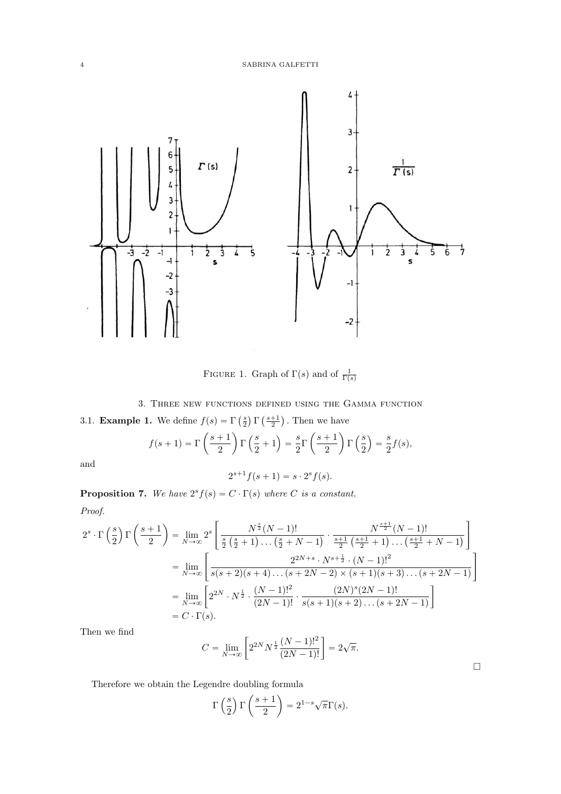

FIGURE 1. Graph of  $\Gamma(s)$  and of  $\frac{1}{\Gamma(s)}$ 

3. Three new functions defined using the Gamma function

3.1. **Example 1.** We define  $f(s) = \Gamma$  $\frac{s}{2}$ ˘ Γ  $\frac{s+1}{2}$ ˘

1. We define 
$$
f(s) = \Gamma\left(\frac{s}{2}\right) \Gamma\left(\frac{s+1}{2}\right)
$$
. Then we have  

$$
f(s+1) = \Gamma\left(\frac{s+1}{2}\right) \Gamma\left(\frac{s}{2}+1\right) = \frac{s}{2} \Gamma\left(\frac{s+1}{2}\right) \Gamma\left(\frac{s}{2}\right) = \frac{s}{2} f(s),
$$

and

$$
2^{s+1}f(s+1) = s \cdot 2^{s}f(s).
$$

for the control of the control of the control of the control of the control of the control of the control of the control of the control of the control of the control of the control of the control of the control of the cont

 $\Box$ 

**Proposition 7.** We have  $2^{s} f(s) = C \cdot \Gamma(s)$  where C is a constant.  $p_{root}$ «

$$
2^{s} \cdot \Gamma\left(\frac{s}{2}\right) \Gamma\left(\frac{s+1}{2}\right) = \lim_{N \to \infty} 2^{s} \left[ \frac{N^{\frac{s}{2}}(N-1)!}{\frac{s}{2}\left(\frac{s}{2}+1\right)\dots\left(\frac{s}{2}+N-1\right)} \cdot \frac{N^{\frac{s+1}{2}}(N-1)!}{\frac{s+1}{2}\left(\frac{s+1}{2}+1\right)\dots\left(\frac{s+1}{2}+N-1\right)} \right]
$$
  

$$
= \lim_{N \to \infty} \left[ \frac{2^{2N+s} \cdot N^{s+\frac{1}{2}} \cdot (N-1)!^{2}}{s(s+2)(s+4)\dots(s+2N-2) \times (s+1)(s+3)\dots(s+2N-1)} \right]
$$
  

$$
= \lim_{N \to \infty} \left[ 2^{2N} \cdot N^{\frac{1}{2}} \cdot \frac{(N-1)!^{2}}{(2N-1)!} \cdot \frac{(2N)^{s}(2N-1)!}{s(s+1)(s+2)\dots(s+2N-1)} \right]
$$
  

$$
= C \cdot \Gamma(s).
$$

Then we find

$$
C = \lim_{N \to \infty} \left[ 2^{2N} N^{\frac{1}{2}} \frac{(N-1)!^2}{(2N-1)!} \right] = 2\sqrt{\pi}.
$$

Therefore we obtain the Legendre doubling formula ˆ ˙

$$
\Gamma\left(\frac{s}{2}\right)\Gamma\left(\frac{s+1}{2}\right) = 2^{1-s}\sqrt{\pi}\Gamma(s).
$$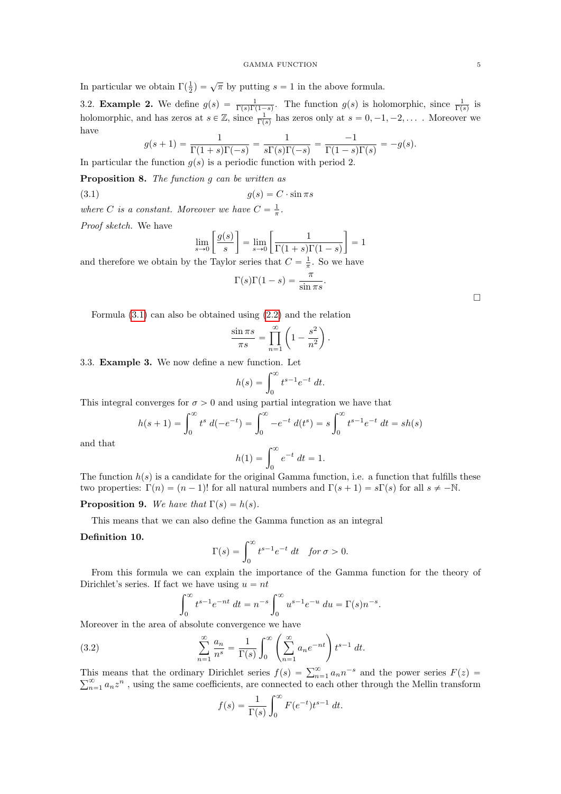In particular we obtain  $\Gamma(\frac{1}{2}) = \sqrt{\pi}$  by putting  $s = 1$  in the above formula.

3.2. **Example 2.** We define  $g(s) = \frac{1}{\Gamma(s)\Gamma(1-s)}$ . The function  $g(s)$  is holomorphic, since  $\frac{1}{\Gamma(s)}$  is holomorphic, and has zeros at  $s \in \mathbb{Z}$ , since  $\frac{1}{\Gamma(s)}$  has zeros only at  $s = 0, -1, -2, \ldots$ . Moreover we have

$$
g(s+1) = \frac{1}{\Gamma(1+s)\Gamma(-s)} = \frac{1}{s\Gamma(s)\Gamma(-s)} = \frac{-1}{\Gamma(1-s)\Gamma(s)} = -g(s).
$$
  
In particular the function  $g(s)$  is a periodic function with period 2.

Proposition 8. The function g can be written as

(3.1) 
$$
g(s) = C \cdot \sin \pi s
$$

where C is a constant. Moreover we have  $C = \frac{1}{\pi}$ .

Proof sketch. We have

<span id="page-4-0"></span>
$$
\lim_{s \to 0} \left[ \frac{g(s)}{s} \right] = \lim_{s \to 0} \left[ \frac{1}{\Gamma(1+s)\Gamma(1-s)} \right] = 1
$$

and therefore we obtain by the Taylor series that  $C = \frac{1}{\pi}$ . So we have

$$
\Gamma(s)\Gamma(1-s) = \frac{\pi}{\sin \pi s}.
$$

Formula  $(3.1)$  can also be obtained using  $(2.2)$  and the relation

$$
\frac{\sin \pi s}{\pi s} = \prod_{n=1}^{\infty} \left( 1 - \frac{s^2}{n^2} \right).
$$

3.3. **Example 3.** We now define a new function. Let  $h(s) = \int_0^\infty t^{s-1} e^{-t}$ 

$$
h(s) = \int_0^\infty t^{s-1} e^{-t} dt.
$$

This integral converges for 
$$
\sigma > 0
$$
 and using partial integration we have that  
\n
$$
h(s+1) = \int_0^\infty t^s d(-e^{-t}) = \int_0^\infty -e^{-t} d(t^s) = s \int_0^\infty t^{s-1} e^{-t} dt = sh(s)
$$
\nand that\n
$$
h(1) = \int_0^\infty e^{-t} dt = 1.
$$

and that

$$
h(1) = \int_0^\infty e^{-t} \, dt = 1.
$$

The function  $h(s)$  is a candidate for the original Gamma function, i.e. a function that fulfills these two properties:  $\Gamma(n) = (n - 1)!$  for all natural numbers and  $\Gamma(s + 1) = s\Gamma(s)$  for all  $s \neq -\mathbb{N}$ .

**Proposition 9.** We have that  $\Gamma(s) = h(s)$ .

This means that we can also define the Gamma function as an integral

## Definition 10.

$$
\Gamma(s) = \int_0^\infty t^{s-1} e^{-t} dt \quad \text{for } \sigma > 0.
$$

From this formula we can explain the importance of the Gamma function for the theory of Dirichlet's series. If fact we have using  $u = nt$ 

$$
\int_0^\infty t^{s-1} e^{-nt} \, dt = n^{-s} \int_0^\infty u^{s-1} e^{-u} \, du = \Gamma(s) n^{-s}.
$$

Moreover in the area of absolute convergence we have<br> $\infty$   $\infty$   $\longrightarrow$   $\infty$   $\longrightarrow$   $\infty$   $\longrightarrow$   $\infty$ 

(3.2) 
$$
\sum_{n=1}^{\infty} \frac{a_n}{n^s} = \frac{1}{\Gamma(s)} \int_0^{\infty} \left( \sum_{n=1}^{\infty} a_n e^{-nt} \right) t^{s-1} dt.
$$

This means that the ordinary Dirichlet series  $f(s) = \sum_{n=1}^{\infty} a_n n^{-s}$  and the power series  $F(z) = \sum_{n=1}^{\infty} a_n n^{-s}$  and the power series  $F(z) = \sum_{n=1}^{\infty} a_n n^{-s}$  $_{n=1}^{\infty} a_n z^n$ , using the same coefficients, are connected to each other through the Mellin transform

<span id="page-4-1"></span>
$$
f(s) = \frac{1}{\Gamma(s)} \int_0^\infty F(e^{-t}) t^{s-1} dt.
$$